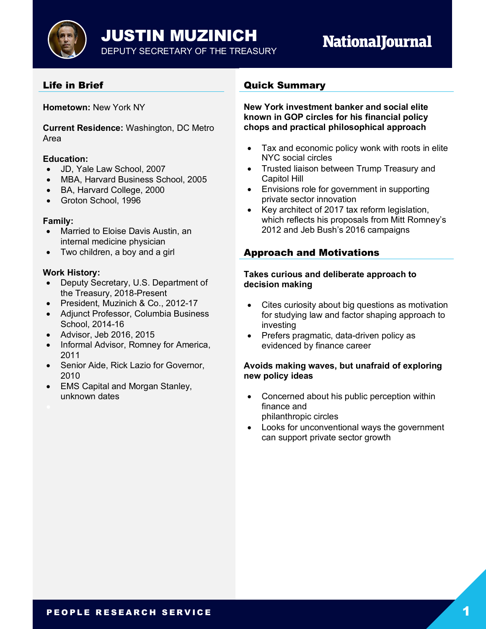

# **NationalJournal**

# Life in Brief

**Hometown:** New York NY

**Current Residence:** Washington, DC Metro Area

#### **Education:**

- JD, Yale Law School, 2007
- MBA, Harvard Business School, 2005
- BA, Harvard College, 2000
- Groton School, 1996

#### **Family:**

- Married to Eloise Davis Austin, an internal medicine physician
- Two children, a boy and a girl

## **Work History:**

- Deputy Secretary, U.S. Department of the Treasury, 2018-Present
- President, Muzinich & Co., 2012-17
- Adjunct Professor, Columbia Business School, 2014-16
- Advisor, Jeb 2016, 2015
- Informal Advisor, Romney for America, 2011
- Senior Aide, Rick Lazio for Governor, 2010
- EMS Capital and Morgan Stanley, unknown dates

## Quick Summary

**New York investment banker and social elite known in GOP circles for his financial policy chops and practical philosophical approach**

- Tax and economic policy wonk with roots in elite NYC social circles
- Trusted liaison between Trump Treasury and Capitol Hill
- Envisions role for government in supporting private sector innovation
- Key architect of 2017 tax reform legislation, which reflects his proposals from Mitt Romney's 2012 and Jeb Bush's 2016 campaigns

# Approach and Motivations

#### **Takes curious and deliberate approach to decision making**

- Cites curiosity about big questions as motivation for studying law and factor shaping approach to investing
- Prefers pragmatic, data-driven policy as evidenced by finance career

## **Avoids making waves, but unafraid of exploring new policy ideas**

- Concerned about his public perception within finance and philanthropic circles
- Looks for unconventional ways the government can support private sector growth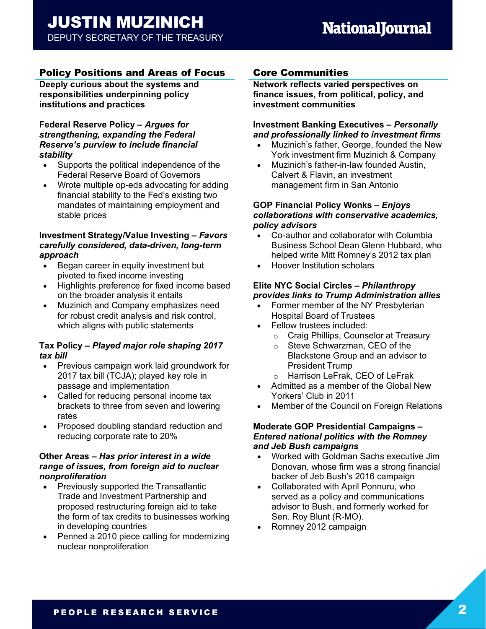# Policy Positions and Areas of Focus

**Deeply curious about the systems and responsibilities underpinning policy institutions and practices**

## **Federal Reserve Policy** *– Argues for strengthening, expanding the Federal Reserve's purview to include financial stability*

- Supports the political independence of the Federal Reserve Board of Governors
- Wrote multiple op-eds advocating for adding financial stability to the Fed's existing two mandates of maintaining employment and stable prices

## **Investment Strategy/Value Investing** *– Favors carefully considered, data-driven, long-term approach*

- Began career in equity investment but pivoted to fixed income investing
- Highlights preference for fixed income based on the broader analysis it entails
- Muzinich and Company emphasizes need for robust credit analysis and risk control, which aligns with public statements

## **Tax Policy** *– Played major role shaping 2017 tax bill*

- Previous campaign work laid groundwork for 2017 tax bill (TCJA); played key role in passage and implementation
- Called for reducing personal income tax brackets to three from seven and lowering rates
- Proposed doubling standard reduction and reducing corporate rate to 20%

## **Other Areas** *– Has prior interest in a wide range of issues, from foreign aid to nuclear nonproliferation*

- Previously supported the Transatlantic Trade and Investment Partnership and proposed restructuring foreign aid to take the form of tax credits to businesses working in developing countries
- Penned a 2010 piece calling for modernizing nuclear nonproliferation

# Core Communities

**Network reflects varied perspectives on finance issues, from political, policy, and investment communities**

#### **Investment Banking Executives** *– Personally and professionally linked to investment firms*

- Muzinich's father, George, founded the New York investment firm Muzinich & Company
- Muzinich's father-in-law founded Austin, Calvert & Flavin, an investment management firm in San Antonio

#### **GOP Financial Policy Wonks** *– Enjoys collaborations with conservative academics, policy advisors*

- Co-author and collaborator with Columbia Business School Dean Glenn Hubbard, who helped write Mitt Romney's 2012 tax plan
- Hoover Institution scholars

## **Elite NYC Social Circles** *– Philanthropy provides links to Trump Administration allies*

- Former member of the NY Presbyterian Hospital Board of Trustees
- Fellow trustees included:
	- o Craig Phillips, Counselor at Treasury
	- o Steve Schwarzman, CEO of the Blackstone Group and an advisor to President Trump
	- o Harrison LeFrak, CEO of LeFrak
- Admitted as a member of the Global New Yorkers' Club in 2011
- Member of the Council on Foreign Relations

## **Moderate GOP Presidential Campaigns** *– Entered national politics with the Romney and Jeb Bush campaigns*

- Worked with Goldman Sachs executive Jim Donovan, whose firm was a strong financial backer of Jeb Bush's 2016 campaign
- Collaborated with April Ponnuru, who served as a policy and communications advisor to Bush, and formerly worked for Sen. Roy Blunt (R-MO).
- Romney 2012 campaign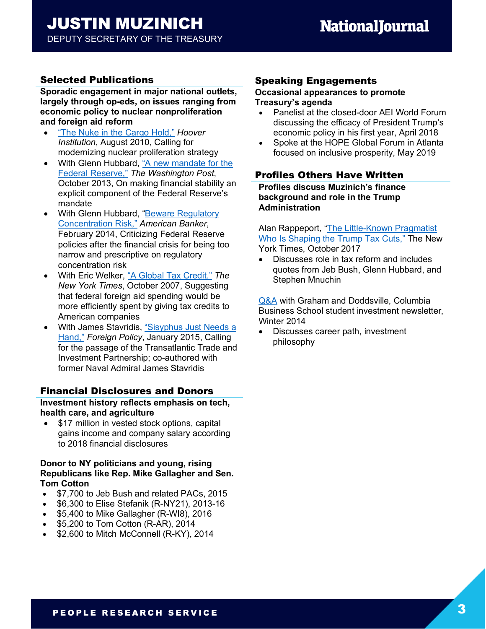# Selected Publications

**Sporadic engagement in major national outlets, largely through op-eds, on issues ranging from economic policy to nuclear nonproliferation and foreign aid reform**

- "The Nuke in the Cargo Hold," *Hoover Institution*, August 2010, Calling for modernizing nuclear proliferation strategy
- With Glenn Hubbard, "A new mandate for the Federal Reserve," *The Washington Post*, October 2013, On making financial stability an explicit component of the Federal Reserve's mandate
- With Glenn Hubbard, "Beware Regulatory Concentration Risk," *American Banker*, February 2014, Criticizing Federal Reserve policies after the financial crisis for being too narrow and prescriptive on regulatory concentration risk
- With Eric Welker, "A Global Tax Credit," *The New York Times*, October 2007, Suggesting that federal foreign aid spending would be more efficiently spent by giving tax credits to American companies
- With James Stavridis, "Sisyphus Just Needs a Hand," *Foreign Policy*, January 2015, Calling for the passage of the Transatlantic Trade and Investment Partnership; co-authored with former Naval Admiral James Stavridis

# Financial Disclosures and Donors

**Investment history reflects emphasis on tech, health care, and agriculture**

• \$17 million in vested stock options, capital gains income and company salary according to 2018 financial disclosures

## **Donor to NY politicians and young, rising Republicans like Rep. Mike Gallagher and Sen. Tom Cotton**

- \$7,700 to Jeb Bush and related PACs, 2015
- \$6,300 to Elise Stefanik (R-NY21), 2013-16
- \$5,400 to Mike Gallagher (R-WI8), 2016
- \$5,200 to Tom Cotton (R-AR), 2014
- \$2,600 to Mitch McConnell (R-KY), 2014

# Speaking Engagements

#### **Occasional appearances to promote Treasury's agenda**

- Panelist at the closed-door AEI World Forum discussing the efficacy of President Trump's economic policy in his first year, April 2018
- Spoke at the HOPE Global Forum in Atlanta focused on inclusive prosperity, May 2019

## Profiles Others Have Written

**Profiles discuss Muzinich's finance background and role in the Trump Administration**

Alan Rappeport, "The Little-Known Pragmatist Who Is Shaping the Trump Tax Cuts," The New York Times, October 2017

• Discusses role in tax reform and includes quotes from Jeb Bush, Glenn Hubbard, and Stephen Mnuchin

Q&A with Graham and Doddsville, Columbia Business School student investment newsletter, Winter 2014

• Discusses career path, investment philosophy